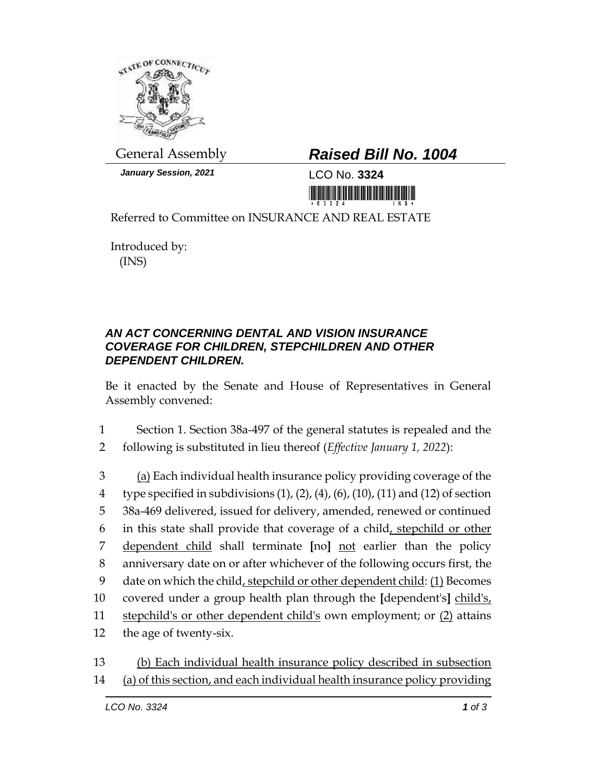

*January Session, 2021* LCO No. **3324**

## General Assembly *Raised Bill No. 1004*

<u> III maa ka ka mid maalaa ka mid maalaa ka mid m</u>

Referred to Committee on INSURANCE AND REAL ESTATE

Introduced by: (INS)

## *AN ACT CONCERNING DENTAL AND VISION INSURANCE COVERAGE FOR CHILDREN, STEPCHILDREN AND OTHER DEPENDENT CHILDREN.*

Be it enacted by the Senate and House of Representatives in General Assembly convened:

1 Section 1. Section 38a-497 of the general statutes is repealed and the 2 following is substituted in lieu thereof (*Effective January 1, 2022*):

 (a) Each individual health insurance policy providing coverage of the 4 type specified in subdivisions  $(1)$ ,  $(2)$ ,  $(4)$ ,  $(6)$ ,  $(10)$ ,  $(11)$  and  $(12)$  of section 38a-469 delivered, issued for delivery, amended, renewed or continued in this state shall provide that coverage of a child, stepchild or other dependent child shall terminate **[**no**]** not earlier than the policy anniversary date on or after whichever of the following occurs first, the date on which the child, stepchild or other dependent child: (1) Becomes covered under a group health plan through the **[**dependent's**]** child's, 11 stepchild's or other dependent child's own employment; or (2) attains the age of twenty-six.

13 (b) Each individual health insurance policy described in subsection 14 (a) of this section, and each individual health insurance policy providing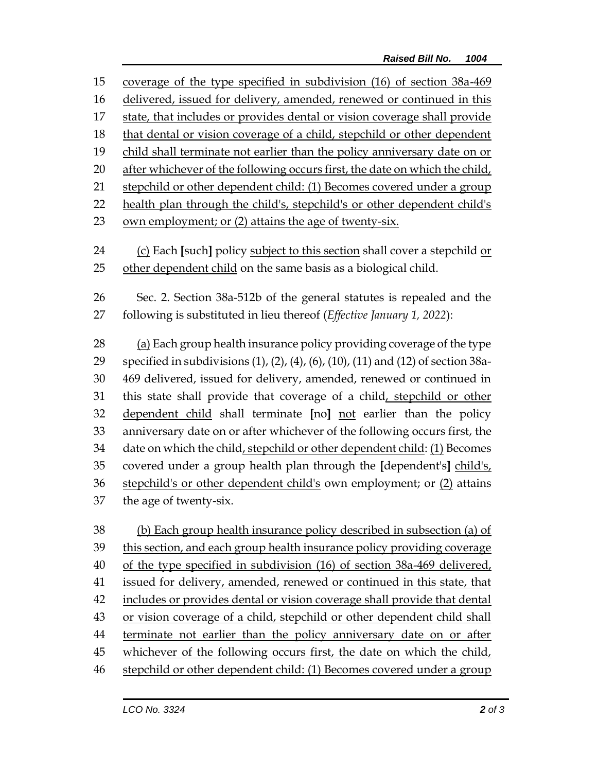coverage of the type specified in subdivision (16) of section 38a-469 delivered, issued for delivery, amended, renewed or continued in this state, that includes or provides dental or vision coverage shall provide that dental or vision coverage of a child, stepchild or other dependent child shall terminate not earlier than the policy anniversary date on or after whichever of the following occurs first, the date on which the child, stepchild or other dependent child: (1) Becomes covered under a group health plan through the child's, stepchild's or other dependent child's own employment; or (2) attains the age of twenty-six. (c) Each **[**such**]** policy subject to this section shall cover a stepchild or other dependent child on the same basis as a biological child. Sec. 2. Section 38a-512b of the general statutes is repealed and the following is substituted in lieu thereof (*Effective January 1, 2022*): (a) Each group health insurance policy providing coverage of the type specified in subdivisions (1), (2), (4), (6), (10), (11) and (12) of section 38a- 469 delivered, issued for delivery, amended, renewed or continued in this state shall provide that coverage of a child, stepchild or other dependent child shall terminate **[**no**]** not earlier than the policy anniversary date on or after whichever of the following occurs first, the date on which the child, stepchild or other dependent child: (1) Becomes covered under a group health plan through the **[**dependent's**]** child's, 36 stepchild's or other dependent child's own employment; or (2) attains the age of twenty-six. (b) Each group health insurance policy described in subsection (a) of this section, and each group health insurance policy providing coverage

 of the type specified in subdivision (16) of section 38a-469 delivered, issued for delivery, amended, renewed or continued in this state, that includes or provides dental or vision coverage shall provide that dental or vision coverage of a child, stepchild or other dependent child shall 44 terminate not earlier than the policy anniversary date on or after 45 whichever of the following occurs first, the date on which the child, stepchild or other dependent child: (1) Becomes covered under a group